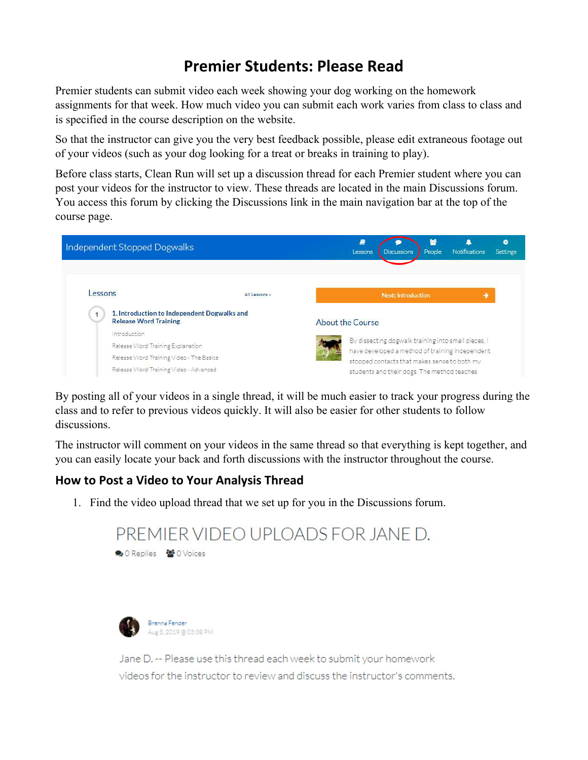## **Premier Students: Please Read**

Premier students can submit video each week showing your dog working on the homework assignments for that week. How much video you can submit each work varies from class to class and is specified in the course description on the website.

So that the instructor can give you the very best feedback possible, please edit extraneous footage out of your videos (such as your dog looking for a treat or breaks in training to play).

Before class starts, Clean Run will set up a discussion thread for each Premier student where you can post your videos for the instructor to view. These threads are located in the main Discussions forum. You access this forum by clicking the Discussions link in the main navigation bar at the top of the course page.



By posting all of your videos in a single thread, it will be much easier to track your progress during the class and to refer to previous videos quickly. It will also be easier for other students to follow discussions.

The instructor will comment on your videos in the same thread so that everything is kept together, and you can easily locate your back and forth discussions with the instructor throughout the course.

## **How to Post a Video to Your Analysis Thread**

1. Find the video upload thread that we set up for you in the Discussions forum.

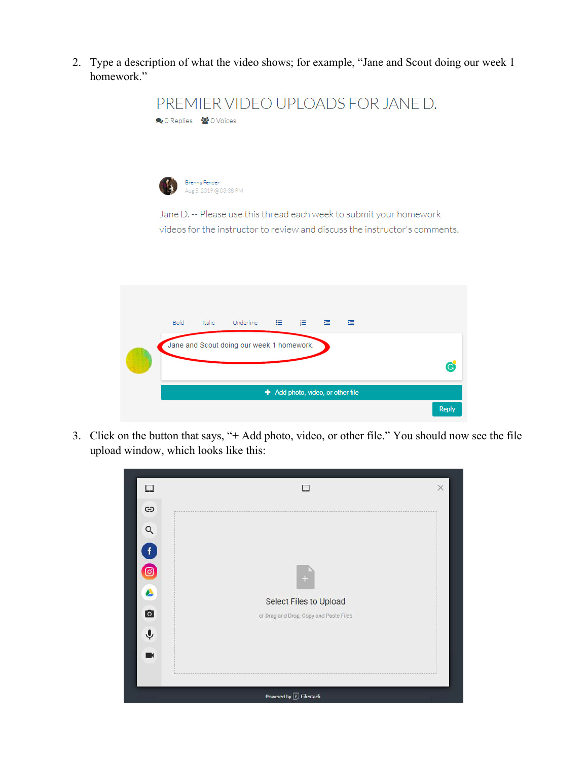2. Type a description of what the video shows; for example, "Jane and Scout doing our week 1 homework."



3. Click on the button that says, "+ Add photo, video, or other file." You should now see the file upload window, which looks like this:

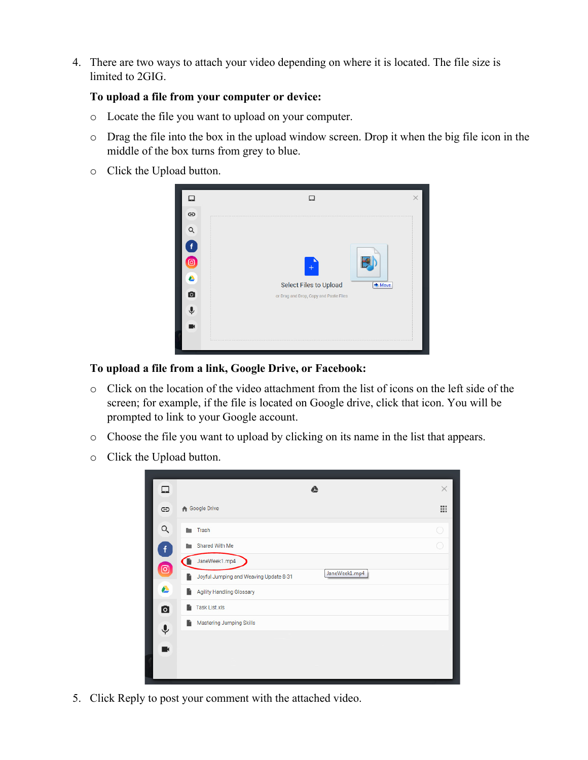4. There are two ways to attach your video depending on where it is located. The file size is limited to 2GIG.

## **To upload a file from your computer or device:**

- o Locate the file you want to upload on your computer.
- o Drag the file into the box in the upload window screen. Drop it when the big file icon in the middle of the box turns from grey to blue.
- o Click the Upload button.



**To upload a file from a link, Google Drive, or Facebook:** 

- o Click on the location of the video attachment from the list of icons on the left side of the screen; for example, if the file is located on Google drive, click that icon. You will be prompted to link to your Google account.
- o Choose the file you want to upload by clicking on its name in the list that appears.
- o Click the Upload button.

| ❏                  | ▵                                                            | $\times$ |
|--------------------|--------------------------------------------------------------|----------|
| $\oplus$           | <b>A</b> Google Drive                                        | ₩        |
| Q                  | Trash<br><b>Des</b>                                          | 0        |
| $\mathbf{f}$       | Shared With Me                                               |          |
| $\bullet$          | JaneWeek1.mp4                                                |          |
|                    | JaneWeek1.mp4<br>Joyful Jumping and Weaving Update 8-31<br>n |          |
| ▵                  | <b>Agility Handling Glossary</b><br>n                        |          |
| $\bullet$          | Task List.xls<br>n                                           |          |
| $\hat{\mathbf{r}}$ | <b>Mastering Jumping Skills</b><br>n.                        |          |
| K                  |                                                              |          |
|                    |                                                              |          |
|                    |                                                              |          |

5. Click Reply to post your comment with the attached video.